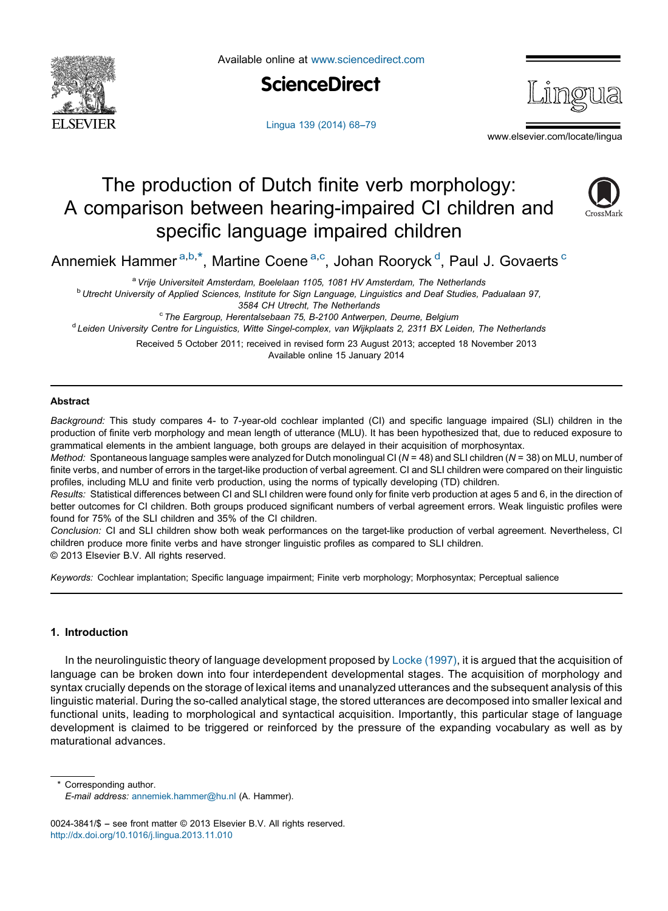<span id="page-0-0"></span>

Available online at [www.sciencedirect.com](http://www.sciencedirect.com/science/journal/00243841)





[Lingua](http://dx.doi.org/10.1016/j.lingua.2013.11.010) 139 (2014) 68-79

www.elsevier.com/locate/lingua

# The production of Dutch finite verb morphology: A comparison between hearing-impaired CI children and specific language impaired children



Annemiek Hammer<sup>a,b,\*</sup>, Martine Coene<sup>a,c</sup>, Johan Rooryck <sup>d</sup>, Paul J. Govaerts <sup>c</sup>

a Vrije Universiteit Amsterdam, Boelelaan 1105, 1081 HV Amsterdam, The Netherlands

<sup>b</sup> Utrecht University of Applied Sciences, Institute for Sign Language, Linguistics and Deaf Studies, Padualaan 97,

3584 CH Utrecht, The Netherlands

<sup>c</sup> The Eargroup, Herentalsebaan 75, B-2100 Antwerpen, Deurne, Belgium

<sup>d</sup> Leiden University Centre for Linguistics, Witte Singel-complex, van Wijkplaats 2, 2311 BX Leiden, The Netherlands

Received 5 October 2011; received in revised form 23 August 2013; accepted 18 November 2013 Available online 15 January 2014

#### Abstract

Background: This study compares 4- to 7-year-old cochlear implanted (CI) and specific language impaired (SLI) children in the production of finite verb morphology and mean length of utterance (MLU). It has been hypothesized that, due to reduced exposure to grammatical elements in the ambient language, both groups are delayed in their acquisition of morphosyntax.

Method: Spontaneous language samples were analyzed for Dutch monolingual CI ( $N = 48$ ) and SLI children ( $N = 38$ ) on MLU, number of finite verbs, and number of errors in the target-like production of verbal agreement. CI and SLI children were compared on their linguistic profiles, including MLU and finite verb production, using the norms of typically developing (TD) children.

Results: Statistical differences between CI and SLI children were found only for finite verb production at ages 5 and 6, in the direction of better outcomes for CI children. Both groups produced significant numbers of verbal agreement errors. Weak linguistic profiles were found for 75% of the SLI children and 35% of the CI children.

Conclusion: CI and SLI children show both weak performances on the target-like production of verbal agreement. Nevertheless, CI children produce more finite verbs and have stronger linguistic profiles as compared to SLI children. © 2013 Elsevier B.V. All rights reserved.

Keywords: Cochlear implantation; Specific language impairment; Finite verb morphology; Morphosyntax; Perceptual salience

# 1. Introduction

In the neurolinguistic theory of language development proposed by Locke [\(1997\),](#page-10-0) it is argued that the acquisition of language can be broken down into four interdependent developmental stages. The acquisition of morphology and syntax crucially depends on the storage of lexical items and unanalyzed utterances and the subsequent analysis of this linguistic material. During the so-called analytical stage, the stored utterances are decomposed into smaller lexical and functional units, leading to morphological and syntactical acquisition. Importantly, this particular stage of language development is claimed to be triggered or reinforced by the pressure of the expanding vocabulary as well as by maturational advances.

\* Corresponding author.

0024-3841/\$ - see front matter © 2013 Elsevier B.V. All rights reserved. <http://dx.doi.org/10.1016/j.lingua.2013.11.010>

E-mail address: [annemiek.hammer@hu.nl](mailto:annemiek.hammer@hu.nl) (A. Hammer).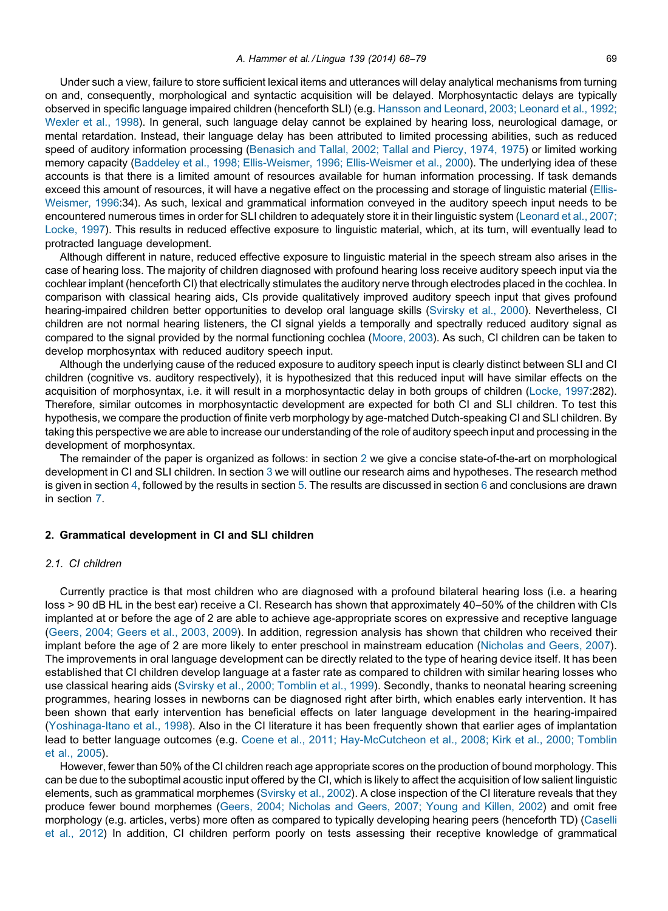Under such a view, failure to store sufficient lexical items and utterances will delay analytical mechanisms from turning on and, consequently, morphological and syntactic acquisition will be delayed. Morphosyntactic delays are typically observed in specific language impaired children (henceforth SLI) (e.g. [Hansson](#page-10-0) and Leonard, 2003; Leonard et al., 1992; [Wexler](#page-10-0) et al., 1998). In general, such language delay cannot be explained by hearing loss, neurological damage, or mental retardation. Instead, their language delay has been attributed to limited processing abilities, such as reduced speed of auditory information processing [\(Benasich](#page-10-0) and Tallal, 2002; Tallal and Piercy, 1974, 1975) or limited working memory capacity (Baddeley et al., 1998; [Ellis-Weismer,](#page-9-0) 1996; Ellis-Weismer et al., 2000). The underlying idea of these accounts is that there is a limited amount of resources available for human information processing. If task demands exceed this amount of resources, it will have a negative effect on the processing and storage of linguistic material ([Ellis-](#page-10-0)[Weismer,](#page-10-0) 1996:34). As such, lexical and grammatical information conveyed in the auditory speech input needs to be encountered numerous times in order for SLI children to adequately store it in their linguistic system [\(Leonard](#page-10-0) et al., 2007; [Locke,](#page-10-0) 1997). This results in reduced effective exposure to linguistic material, which, at its turn, will eventually lead to protracted language development.

Although different in nature, reduced effective exposure to linguistic material in the speech stream also arises in the case of hearing loss. The majority of children diagnosed with profound hearing loss receive auditory speech input via the cochlear implant (henceforth CI) that electrically stimulates the auditory nerve through electrodes placed in the cochlea. In comparison with classical hearing aids, CIs provide qualitatively improved auditory speech input that gives profound hearing-impaired children better opportunities to develop oral language skills [\(Svirsky](#page-10-0) et al., 2000). Nevertheless, CI children are not normal hearing listeners, the CI signal yields a temporally and spectrally reduced auditory signal as compared to the signal provided by the normal functioning cochlea [\(Moore,](#page-10-0) 2003). As such, CI children can be taken to develop morphosyntax with reduced auditory speech input.

Although the underlying cause of the reduced exposure to auditory speech input is clearly distinct between SLI and CI children (cognitive vs. auditory respectively), it is hypothesized that this reduced input will have similar effects on the acquisition of morphosyntax, i.e. it will result in a morphosyntactic delay in both groups of children ([Locke,](#page-10-0) 1997:282). Therefore, similar outcomes in morphosyntactic development are expected for both CI and SLI children. To test this hypothesis, we compare the production of finite verb morphology by age-matched Dutch-speaking CI and SLI children. By taking this perspective we are able to increase our understanding of the role of auditory speech input and processing in the development of morphosyntax.

The remainder of the paper is organized as follows: in section 2 we give a concise state-of-the-art on morphological development in CI and SLI children. In section [3](#page-2-0) we will outline our research aims and hypotheses. The research method is given in section [4](#page-2-0), followed by the results in section [5.](#page-5-0) The results are discussed in section [6](#page-8-0) and conclusions are drawn in section [7.](#page-9-0)

#### 2. Grammatical development in CI and SLI children

### 2.1. CI children

Currently practice is that most children who are diagnosed with a profound bilateral hearing loss (i.e. a hearing loss > 90 dB HL in the best ear) receive a CI. Research has shown that approximately 40–50% of the children with CIs implanted at or before the age of 2 are able to achieve age-appropriate scores on expressive and receptive language ([Geers,](#page-10-0) 2004; Geers et al., 2003, 2009). In addition, regression analysis has shown that children who received their implant before the age of 2 are more likely to enter preschool in mainstream education ([Nicholas](#page-10-0) and Geers, 2007). The improvements in oral language development can be directly related to the type of hearing device itself. It has been established that CI children develop language at a faster rate as compared to children with similar hearing losses who use classical hearing aids (Svirsky et al., 2000; [Tomblin](#page-10-0) et al., 1999). Secondly, thanks to neonatal hearing screening programmes, hearing losses in newborns can be diagnosed right after birth, which enables early intervention. It has been shown that early intervention has beneficial effects on later language development in the hearing-impaired ([Yoshinaga-Itano](#page-11-0) et al., 1998). Also in the CI literature it has been frequently shown that earlier ages of implantation lead to better language outcomes (e.g. Coene et al., 2011; [Hay-McCutcheon](#page-10-0) et al., 2008; Kirk et al., 2000; Tomblin et al., [2005](#page-10-0)).

However, fewer than 50% of the CI children reach age appropriate scores on the production of bound morphology. This can be due to the suboptimal acoustic input offered by the CI, which is likely to affect the acquisition of low salient linguistic elements, such as grammatical morphemes [\(Svirsky](#page-10-0) et al., 2002). A close inspection of the CI literature reveals that they produce fewer bound morphemes (Geers, 2004; [Nicholas](#page-10-0) and Geers, 2007; Young and Killen, 2002) and omit free morphology (e.g. articles, verbs) more often as compared to typically developing hearing peers (henceforth TD) [\(Caselli](#page-10-0) et al., [2012](#page-10-0)) In addition, CI children perform poorly on tests assessing their receptive knowledge of grammatical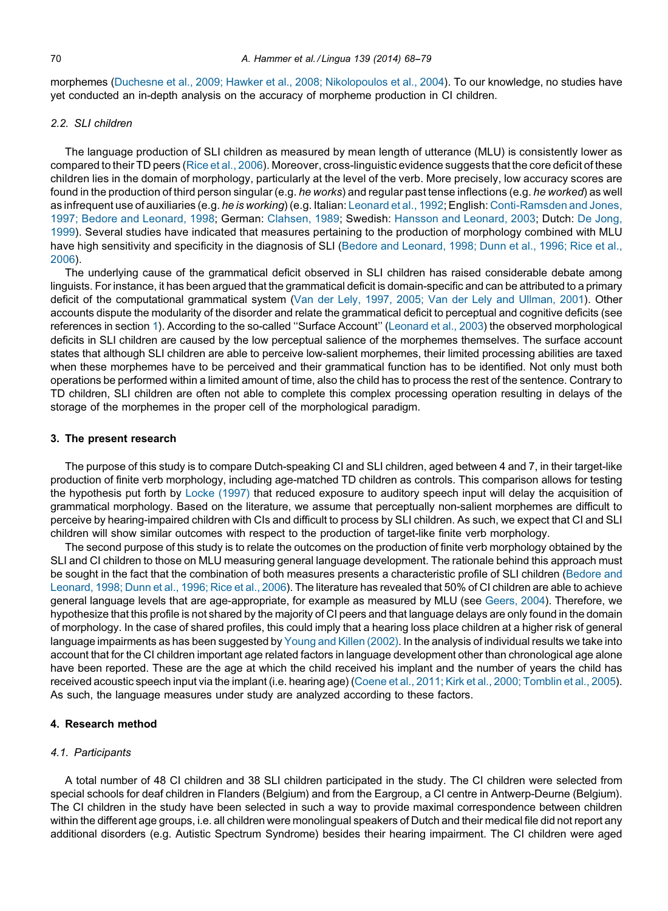<span id="page-2-0"></span>morphemes (Duchesne et al., 2009; Hawker et al., 2008; [Nikolopoulos](#page-10-0) et al., 2004). To our knowledge, no studies have yet conducted an in-depth analysis on the accuracy of morpheme production in CI children.

# 2.2. SLI children

The language production of SLI children as measured by mean length of utterance (MLU) is consistently lower as compared to their TD peers (Rice et al., [2006](#page-10-0)). Moreover, cross-linguistic evidence suggests that the core deficit of these children lies in the domain of morphology, particularly at the level of the verb. More precisely, low accuracy scores are found in the production of third person singular (e.g. he works) and regular past tense inflections (e.g. he worked) as well as infrequent use of auxiliaries (e.g. he is working) (e.g. Italian: [Leonard](#page-10-0) et al., 1992; English: [Conti-Ramsden](#page-10-0) and Jones, 1997; Bedore and [Leonard,](#page-10-0) 1998; German: [Clahsen,](#page-10-0) 1989; Swedish: Hansson and [Leonard,](#page-10-0) 2003; Dutch: De [Jong,](#page-10-0) [1999](#page-10-0)). Several studies have indicated that measures pertaining to the production of morphology combined with MLU have high sensitivity and specificity in the diagnosis of SLI (Bedore and [Leonard,](#page-9-0) 1998; Dunn et al., 1996; Rice et al., [2006](#page-9-0)).

The underlying cause of the grammatical deficit observed in SLI children has raised considerable debate among linguists. For instance, it has been argued that the grammatical deficit is domain-specific and can be attributed to a primary deficit of the computational grammatical system (Van der Lely, 1997, 2005; Van der Lely and [Ullman,](#page-11-0) 2001). Other accounts dispute the modularity of the disorder and relate the grammatical deficit to perceptual and cognitive deficits (see references in section [1](#page-0-0)). According to the so-called ''Surface Account'' ([Leonard](#page-10-0) et al., 2003) the observed morphological deficits in SLI children are caused by the low perceptual salience of the morphemes themselves. The surface account states that although SLI children are able to perceive low-salient morphemes, their limited processing abilities are taxed when these morphemes have to be perceived and their grammatical function has to be identified. Not only must both operations be performed within a limited amount of time, also the child has to process the rest of the sentence. Contrary to TD children, SLI children are often not able to complete this complex processing operation resulting in delays of the storage of the morphemes in the proper cell of the morphological paradigm.

#### 3. The present research

The purpose of this study is to compare Dutch-speaking CI and SLI children, aged between 4 and 7, in their target-like production of finite verb morphology, including age-matched TD children as controls. This comparison allows for testing the hypothesis put forth by Locke [\(1997\)](#page-10-0) that reduced exposure to auditory speech input will delay the acquisition of grammatical morphology. Based on the literature, we assume that perceptually non-salient morphemes are difficult to perceive by hearing-impaired children with CIs and difficult to process by SLI children. As such, we expect that CI and SLI children will show similar outcomes with respect to the production of target-like finite verb morphology.

The second purpose of this study is to relate the outcomes on the production of finite verb morphology obtained by the SLI and CI children to those on MLU measuring general language development. The rationale behind this approach must be sought in the fact that the combination of both measures presents a characteristic profile of SLI children ([Bedore](#page-9-0) and [Leonard,](#page-9-0) 1998; Dunn et al., 1996; Rice et al., 2006). The literature has revealed that 50% of CI children are able to achieve general language levels that are age-appropriate, for example as measured by MLU (see [Geers,](#page-10-0) 2004). Therefore, we hypothesize that this profile is not shared by the majority of CI peers and that language delays are only found in the domain of morphology. In the case of shared profiles, this could imply that a hearing loss place children at a higher risk of general language impairments as has been suggested by Young and Killen [\(2002\).](#page-11-0) In the analysis of individual results we take into account that for the CI children important age related factors in language development other than chronological age alone have been reported. These are the age at which the child received his implant and the number of years the child has received acoustic speech input via the implant (i.e. hearing age) (Coene et al., 2011; Kirk et al., 2000; [Tomblin](#page-10-0) et al., 2005). As such, the language measures under study are analyzed according to these factors.

# 4. Research method

#### 4.1. Participants

A total number of 48 CI children and 38 SLI children participated in the study. The CI children were selected from special schools for deaf children in Flanders (Belgium) and from the Eargroup, a CI centre in Antwerp-Deurne (Belgium). The CI children in the study have been selected in such a way to provide maximal correspondence between children within the different age groups, i.e. all children were monolingual speakers of Dutch and their medical file did not report any additional disorders (e.g. Autistic Spectrum Syndrome) besides their hearing impairment. The CI children were aged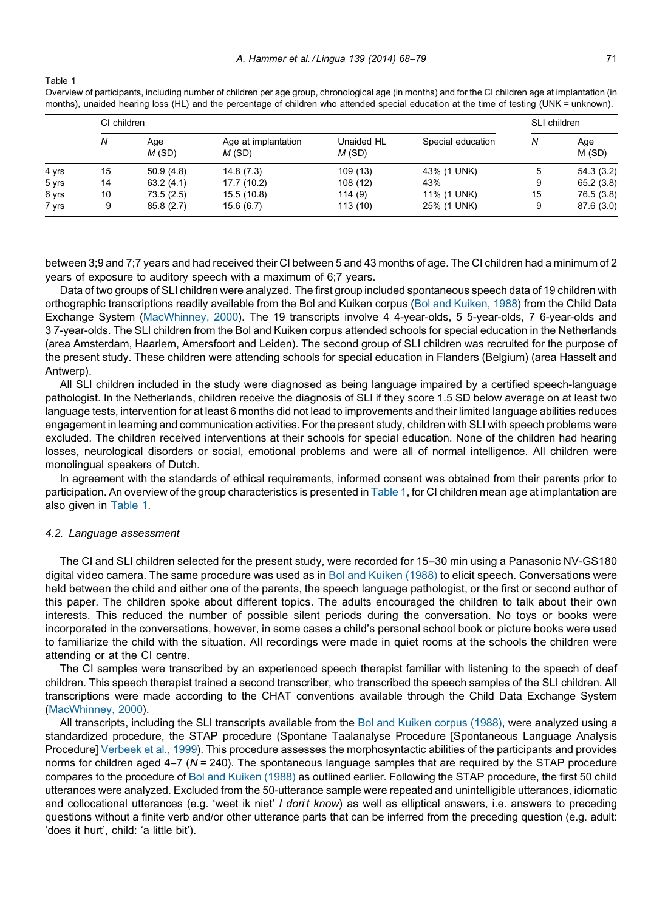|       |    | CI children  |                              |                     |                   |   |               |
|-------|----|--------------|------------------------------|---------------------|-------------------|---|---------------|
|       | Ν  | Age<br>M(SD) | Age at implantation<br>M(SD) | Unaided HL<br>M(SD) | Special education | N | Age<br>M (SD) |
| 4 yrs | 15 | 50.9(4.8)    | 14.8(7.3)                    | 109(13)             | 43% (1 UNK)       |   | 54.3 (3.2)    |
| 5 yrs | 14 | 63.2(4.1)    | 17.7 (10.2)                  | 108 (12)            | 43%               | 9 | 65.2 (3.8)    |

6 yrs 10 73.5 (2.5) 15.5 (10.8) 114 (9) 11% (1 UNK) 15 76.5 (3.8) 7 yrs 9 85.8 (2.7) 15.6 (6.7) 113 (10) 25% (1 UNK) 9 87.6 (3.0)

Overview of participants, including number of children per age group, chronological age (in months) and for the CI children age at implantation (in months), unaided hearing loss (HL) and the percentage of children who attended special education at the time of testing (UNK = unknown).

between 3;9 and 7;7 years and had received their CI between 5 and 43 months of age. The CI children had a minimum of 2 years of exposure to auditory speech with a maximum of 6;7 years.

Data of two groups of SLI children were analyzed. The first group included spontaneous speech data of 19 children with orthographic transcriptions readily available from the Bol and Kuiken corpus (Bol and [Kuiken,](#page-10-0) 1988) from the Child Data Exchange System ([MacWhinney,](#page-10-0) 2000). The 19 transcripts involve 4 4-year-olds, 5 5-year-olds, 7 6-year-olds and 3 7-year-olds. The SLI children from the Bol and Kuiken corpus attended schools for special education in the Netherlands (area Amsterdam, Haarlem, Amersfoort and Leiden). The second group of SLI children was recruited for the purpose of the present study. These children were attending schools for special education in Flanders (Belgium) (area Hasselt and Antwerp).

All SLI children included in the study were diagnosed as being language impaired by a certified speech-language pathologist. In the Netherlands, children receive the diagnosis of SLI if they score 1.5 SD below average on at least two language tests, intervention for at least 6 months did not lead to improvements and their limited language abilities reduces engagement in learning and communication activities. For the present study, children with SLI with speech problems were excluded. The children received interventions at their schools for special education. None of the children had hearing losses, neurological disorders or social, emotional problems and were all of normal intelligence. All children were monolingual speakers of Dutch.

In agreement with the standards of ethical requirements, informed consent was obtained from their parents prior to participation. An overview of the group characteristics is presented in Table 1, for CI children mean age at implantation are also given in Table 1.

#### 4.2. Language assessment

The CI and SLI children selected for the present study, were recorded for 15-30 min using a Panasonic NV-GS180 digital video camera. The same procedure was used as in Bol and [Kuiken](#page-10-0) (1988) to elicit speech. Conversations were held between the child and either one of the parents, the speech language pathologist, or the first or second author of this paper. The children spoke about different topics. The adults encouraged the children to talk about their own interests. This reduced the number of possible silent periods during the conversation. No toys or books were incorporated in the conversations, however, in some cases a child's personal school book or picture books were used to familiarize the child with the situation. All recordings were made in quiet rooms at the schools the children were attending or at the CI centre.

The CI samples were transcribed by an experienced speech therapist familiar with listening to the speech of deaf children. This speech therapist trained a second transcriber, who transcribed the speech samples of the SLI children. All transcriptions were made according to the CHAT conventions available through the Child Data Exchange System ([MacWhinney,](#page-10-0) 2000).

All transcripts, including the SLI transcripts available from the Bol and [Kuiken](#page-10-0) corpus (1988), were analyzed using a standardized procedure, the STAP procedure (Spontane Taalanalyse Procedure [Spontaneous Language Analysis Procedure] [Verbeek](#page-11-0) et al., 1999). This procedure assesses the morphosyntactic abilities of the participants and provides norms for children aged  $4-7$  ( $N = 240$ ). The spontaneous language samples that are required by the STAP procedure compares to the procedure of Bol and [Kuiken](#page-10-0) (1988) as outlined earlier. Following the STAP procedure, the first 50 child utterances were analyzed. Excluded from the 50-utterance sample were repeated and unintelligible utterances, idiomatic and collocational utterances (e.g. 'weet ik niet' I don't know) as well as elliptical answers, i.e. answers to preceding questions without a finite verb and/or other utterance parts that can be inferred from the preceding question (e.g. adult: 'does it hurt', child: 'a little bit').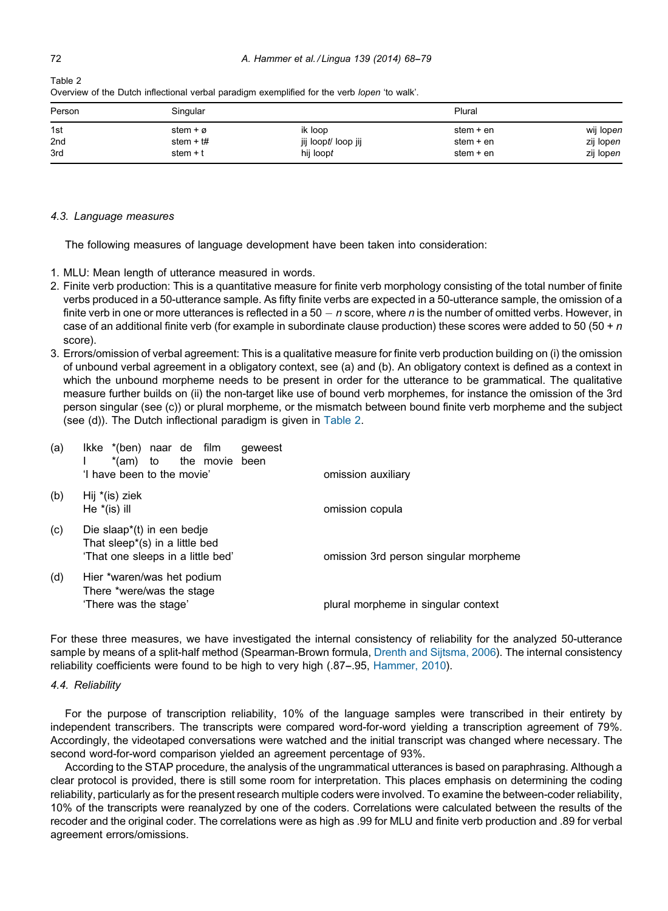| Table 2                                                                                      |
|----------------------------------------------------------------------------------------------|
| Overview of the Dutch inflectional verbal paradigm exemplified for the verb lopen 'to walk'. |

| Person | Singular             |                     | Plural    |           |  |
|--------|----------------------|---------------------|-----------|-----------|--|
| 1st    | stem + $\varnothing$ | ik loop             | stem + en | wij lopen |  |
| 2nd    | stem $+$ t#          | jij loopt/ loop jij | stem + en | zij lopen |  |
| 3rd    | stem $+$ t           | hij loopt           | stem + en | zij lopen |  |

#### 4.3. Language measures

The following measures of language development have been taken into consideration:

- 1. MLU: Mean length of utterance measured in words.
- 2. Finite verb production: This is a quantitative measure for finite verb morphology consisting of the total number of finite verbs produced in a 50-utterance sample. As fifty finite verbs are expected in a 50-utterance sample, the omission of a finite verb in one or more utterances is reflected in a 50  $- n$  score, where n is the number of omitted verbs. However, in case of an additional finite verb (for example in subordinate clause production) these scores were added to 50 (50 +  $n$ score).
- 3. Errors/omission of verbal agreement: This is a qualitative measure for finite verb production building on (i) the omission of unbound verbal agreement in a obligatory context, see (a) and (b). An obligatory context is defined as a context in which the unbound morpheme needs to be present in order for the utterance to be grammatical. The qualitative measure further builds on (ii) the non-target like use of bound verb morphemes, for instance the omission of the 3rd person singular (see (c)) or plural morpheme, or the mismatch between bound finite verb morpheme and the subject (see (d)). The Dutch inflectional paradigm is given in Table 2.

| (a) | Ikke *(ben) naar de film<br>geweest<br>the movie been<br>*(am) to                                                           |                                       |
|-----|-----------------------------------------------------------------------------------------------------------------------------|---------------------------------------|
|     | 'I have been to the movie'                                                                                                  | omission auxiliary                    |
| (b) | Hij $*(is)$ ziek<br>He $*(is)$ ill                                                                                          | omission copula                       |
| (c) | Die slaap <sup>*</sup> (t) in een bedje<br>That sleep <sup>*</sup> (s) in a little bed<br>'That one sleeps in a little bed' | omission 3rd person singular morpheme |
| (d) | Hier *waren/was het podium<br>There *were/was the stage<br>'There was the stage'                                            | plural morpheme in singular context   |

For these three measures, we have investigated the internal consistency of reliability for the analyzed 50-utterance sample by means of a split-half method (Spearman-Brown formula, Drenth and [Sijtsma,](#page-10-0) 2006). The internal consistency reliability coefficients were found to be high to very high (.87-.95, [Hammer,](#page-10-0) 2010).

# 4.4. Reliability

For the purpose of transcription reliability, 10% of the language samples were transcribed in their entirety by independent transcribers. The transcripts were compared word-for-word yielding a transcription agreement of 79%. Accordingly, the videotaped conversations were watched and the initial transcript was changed where necessary. The second word-for-word comparison yielded an agreement percentage of 93%.

According to the STAP procedure, the analysis of the ungrammatical utterances is based on paraphrasing. Although a clear protocol is provided, there is still some room for interpretation. This places emphasis on determining the coding reliability, particularly as for the present research multiple coders were involved. To examine the between-coder reliability, 10% of the transcripts were reanalyzed by one of the coders. Correlations were calculated between the results of the recoder and the original coder. The correlations were as high as .99 for MLU and finite verb production and .89 for verbal agreement errors/omissions.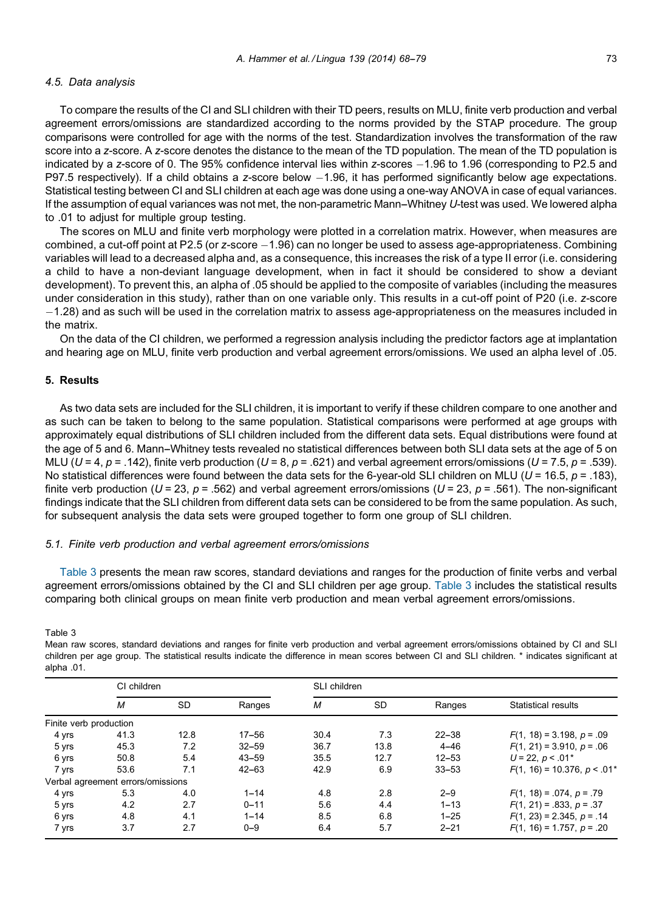### <span id="page-5-0"></span>4.5. Data analysis

To compare the results of the CI and SLI children with their TD peers, results on MLU, finite verb production and verbal agreement errors/omissions are standardized according to the norms provided by the STAP procedure. The group comparisons were controlled for age with the norms of the test. Standardization involves the transformation of the raw score into a z-score. A z-score denotes the distance to the mean of the TD population. The mean of the TD population is indicated by a z-score of 0. The 95% confidence interval lies within z-scores  $-1.96$  to 1.96 (corresponding to P2.5 and P97.5 respectively). If a child obtains a z-score below  $-1.96$ , it has performed significantly below age expectations. Statistical testing between CI and SLI children at each age was done using a one-way ANOVA in case of equal variances. If the assumption of equal variances was not met, the non-parametric Mann-Whitney U-test was used. We lowered alpha to .01 to adjust for multiple group testing.

The scores on MLU and finite verb morphology were plotted in a correlation matrix. However, when measures are combined, a cut-off point at P2.5 (or z-score  $-1.96$ ) can no longer be used to assess age-appropriateness. Combining variables will lead to a decreased alpha and, as a consequence, this increases the risk of a type II error (i.e. considering a child to have a non-deviant language development, when in fact it should be considered to show a deviant development). To prevent this, an alpha of .05 should be applied to the composite of variables (including the measures under consideration in this study), rather than on one variable only. This results in a cut-off point of P20 (i.e. z-score  $-1.28$ ) and as such will be used in the correlation matrix to assess age-appropriateness on the measures included in the matrix.

On the data of the CI children, we performed a regression analysis including the predictor factors age at implantation and hearing age on MLU, finite verb production and verbal agreement errors/omissions. We used an alpha level of .05.

# 5. Results

As two data sets are included for the SLI children, it is important to verify if these children compare to one another and as such can be taken to belong to the same population. Statistical comparisons were performed at age groups with approximately equal distributions of SLI children included from the different data sets. Equal distributions were found at the age of 5 and 6. Mann--Whitney tests revealed no statistical differences between both SLI data sets at the age of 5 on MLU ( $U = 4$ ,  $p = .142$ ), finite verb production ( $U = 8$ ,  $p = .621$ ) and verbal agreement errors/omissions ( $U = 7.5$ ,  $p = .539$ ). No statistical differences were found between the data sets for the 6-year-old SLI children on MLU ( $U$  = 16.5,  $p$  = .183), finite verb production (U = 23, p = .562) and verbal agreement errors/omissions (U = 23, p = .561). The non-significant findings indicate that the SLI children from different data sets can be considered to be from the same population. As such, for subsequent analysis the data sets were grouped together to form one group of SLI children.

#### 5.1. Finite verb production and verbal agreement errors/omissions

Table 3 presents the mean raw scores, standard deviations and ranges for the production of finite verbs and verbal agreement errors/omissions obtained by the CI and SLI children per age group. Table 3 includes the statistical results comparing both clinical groups on mean finite verb production and mean verbal agreement errors/omissions.

Table 3

Mean raw scores, standard deviations and ranges for finite verb production and verbal agreement errors/omissions obtained by CI and SLI children per age group. The statistical results indicate the difference in mean scores between CI and SLI children. \* indicates significant at alpha .01.

|                        | CI children                       |           |           | SLI children |           |           |                                |  |  |
|------------------------|-----------------------------------|-----------|-----------|--------------|-----------|-----------|--------------------------------|--|--|
|                        | M                                 | <b>SD</b> | Ranges    | M            | <b>SD</b> | Ranges    | <b>Statistical results</b>     |  |  |
| Finite verb production |                                   |           |           |              |           |           |                                |  |  |
| 4 yrs                  | 41.3                              | 12.8      | $17 - 56$ | 30.4         | 7.3       | $22 - 38$ | $F(1, 18) = 3.198, p = .09$    |  |  |
| 5 yrs                  | 45.3                              | 7.2       | $32 - 59$ | 36.7         | 13.8      | $4 - 46$  | $F(1, 21) = 3.910, p = .06$    |  |  |
| 6 yrs                  | 50.8                              | 5.4       | $43 - 59$ | 35.5         | 12.7      | $12 - 53$ | $U = 22$ , $p < .01*$          |  |  |
| 7 yrs                  | 53.6                              | 7.1       | $42 - 63$ | 42.9         | 6.9       | $33 - 53$ | $F(1, 16) = 10.376, p < 0.01*$ |  |  |
|                        | Verbal agreement errors/omissions |           |           |              |           |           |                                |  |  |
| 4 yrs                  | 5.3                               | 4.0       | $1 - 14$  | 4.8          | 2.8       | $2 - 9$   | $F(1, 18) = .074, p = .79$     |  |  |
| 5 yrs                  | 4.2                               | 2.7       | $0 - 11$  | 5.6          | 4.4       | $1 - 13$  | $F(1, 21) = .833, p = .37$     |  |  |
| 6 yrs                  | 4.8                               | 4.1       | $1 - 14$  | 8.5          | 6.8       | $1 - 25$  | $F(1, 23) = 2.345, p = .14$    |  |  |
| 7 yrs                  | 3.7                               | 2.7       | $0 - 9$   | 6.4          | 5.7       | $2 - 21$  | $F(1, 16) = 1.757, p = .20$    |  |  |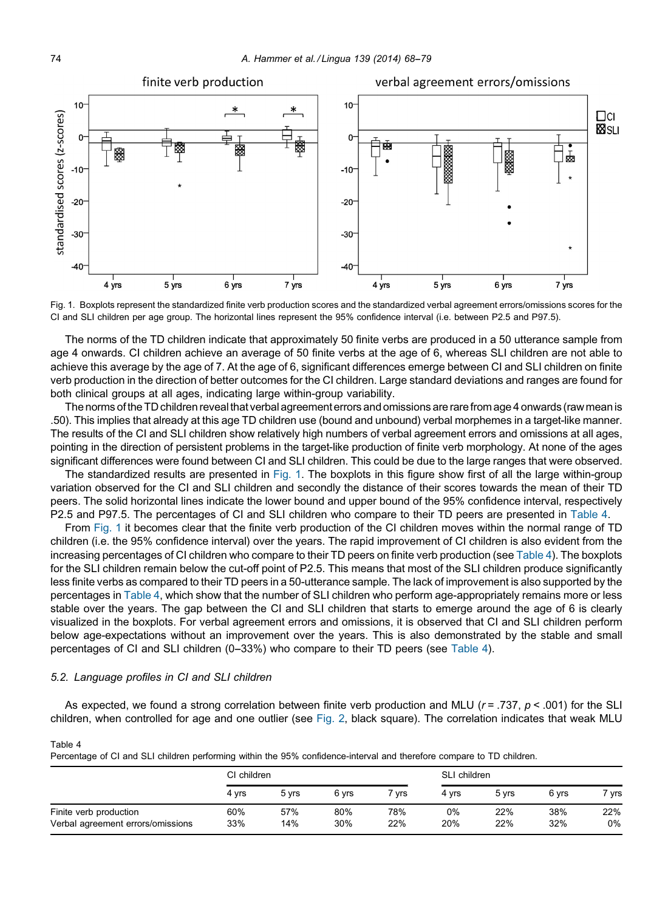<span id="page-6-0"></span>

Fig. 1. Boxplots represent the standardized finite verb production scores and the standardized verbal agreement errors/omissions scores for the CI and SLI children per age group. The horizontal lines represent the 95% confidence interval (i.e. between P2.5 and P97.5).

The norms of the TD children indicate that approximately 50 finite verbs are produced in a 50 utterance sample from age 4 onwards. CI children achieve an average of 50 finite verbs at the age of 6, whereas SLI children are not able to achieve this average by the age of 7. At the age of 6, significant differences emerge between CI and SLI children on finite verb production in the direction of better outcomes for the CI children. Large standard deviations and ranges are found for both clinical groups at all ages, indicating large within-group variability.

The norms of theTDchildren reveal that verbal agreement errors andomissions are rarefrom age 4 onwards (raw mean is .50). This implies that already at this age TD children use (bound and unbound) verbal morphemes in a target-like manner. The results of the CI and SLI children show relatively high numbers of verbal agreement errors and omissions at all ages, pointing in the direction of persistent problems in the target-like production of finite verb morphology. At none of the ages significant differences were found between CI and SLI children. This could be due to the large ranges that were observed.

The standardized results are presented in Fig. 1. The boxplots in this figure show first of all the large within-group variation observed for the CI and SLI children and secondly the distance of their scores towards the mean of their TD peers. The solid horizontal lines indicate the lower bound and upper bound of the 95% confidence interval, respectively P2.5 and P97.5. The percentages of CI and SLI children who compare to their TD peers are presented in Table 4.

From Fig. 1 it becomes clear that the finite verb production of the CI children moves within the normal range of TD children (i.e. the 95% confidence interval) over the years. The rapid improvement of CI children is also evident from the increasing percentages of CI children who compare to their TD peers on finite verb production (see Table 4). The boxplots for the SLI children remain below the cut-off point of P2.5. This means that most of the SLI children produce significantly less finite verbs as compared to their TD peers in a 50-utterance sample. The lack of improvement is also supported by the percentages in Table 4, which show that the number of SLI children who perform age-appropriately remains more or less stable over the years. The gap between the CI and SLI children that starts to emerge around the age of 6 is clearly visualized in the boxplots. For verbal agreement errors and omissions, it is observed that CI and SLI children perform below age-expectations without an improvement over the years. This is also demonstrated by the stable and small percentages of CI and SLI children (0-33%) who compare to their TD peers (see Table 4).

# 5.2. Language profiles in CI and SLI children

Table 4

As expected, we found a strong correlation between finite verb production and MLU ( $r = .737$ ,  $p < .001$ ) for the SLI children, when controlled for age and one outlier (see [Fig.](#page-7-0) 2, black square). The correlation indicates that weak MLU

| .                                 | .     |             |       |       |              |       |       |       |
|-----------------------------------|-------|-------------|-------|-------|--------------|-------|-------|-------|
|                                   |       | CI children |       |       | SLI children |       |       |       |
|                                   | 4 vrs | 5 vrs       | 6 vrs | 7 yrs | 4 vrs        | 5 vrs | 6 vrs | 7 yrs |
| Finite verb production            | 60%   | 57%         | 80%   | 78%   | 0%           | 22%   | 38%   | 22%   |
| Verbal agreement errors/omissions | 33%   | 14%         | 30%   | 22%   | 20%          | 22%   | 32%   | 0%    |

#### Percentage of CI and SLI children performing within the 95% confidence-interval and therefore compare to TD children.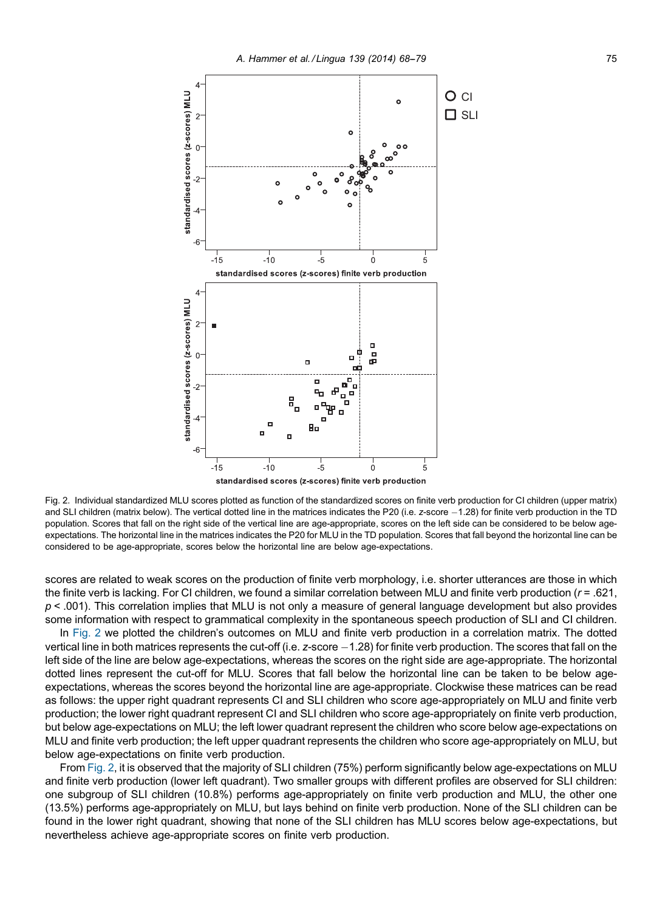<span id="page-7-0"></span>

Fig. 2. Individual standardized MLU scores plotted as function of the standardized scores on finite verb production for CI children (upper matrix) and SLI children (matrix below). The vertical dotted line in the matrices indicates the P20 (i.e. z-score -1.28) for finite verb production in the TD population. Scores that fall on the right side of the vertical line are age-appropriate, scores on the left side can be considered to be below ageexpectations. The horizontal line in the matrices indicates the P20 for MLU in the TD population. Scores that fall beyond the horizontal line can be considered to be age-appropriate, scores below the horizontal line are below age-expectations.

scores are related to weak scores on the production of finite verb morphology, i.e. shorter utterances are those in which the finite verb is lacking. For CI children, we found a similar correlation between MLU and finite verb production ( $r = .621$ ,  $p < .001$ ). This correlation implies that MLU is not only a measure of general language development but also provides some information with respect to grammatical complexity in the spontaneous speech production of SLI and CI children.

In Fig. 2 we plotted the children's outcomes on MLU and finite verb production in a correlation matrix. The dotted vertical line in both matrices represents the cut-off (i.e.  $z$ -score  $-1.28$ ) for finite verb production. The scores that fall on the left side of the line are below age-expectations, whereas the scores on the right side are age-appropriate. The horizontal dotted lines represent the cut-off for MLU. Scores that fall below the horizontal line can be taken to be below ageexpectations, whereas the scores beyond the horizontal line are age-appropriate. Clockwise these matrices can be read as follows: the upper right quadrant represents CI and SLI children who score age-appropriately on MLU and finite verb production; the lower right quadrant represent CI and SLI children who score age-appropriately on finite verb production, but below age-expectations on MLU; the left lower quadrant represent the children who score below age-expectations on MLU and finite verb production; the left upper quadrant represents the children who score age-appropriately on MLU, but below age-expectations on finite verb production.

From Fig. 2, it is observed that the majority of SLI children (75%) perform significantly below age-expectations on MLU and finite verb production (lower left quadrant). Two smaller groups with different profiles are observed for SLI children: one subgroup of SLI children (10.8%) performs age-appropriately on finite verb production and MLU, the other one (13.5%) performs age-appropriately on MLU, but lays behind on finite verb production. None of the SLI children can be found in the lower right quadrant, showing that none of the SLI children has MLU scores below age-expectations, but nevertheless achieve age-appropriate scores on finite verb production.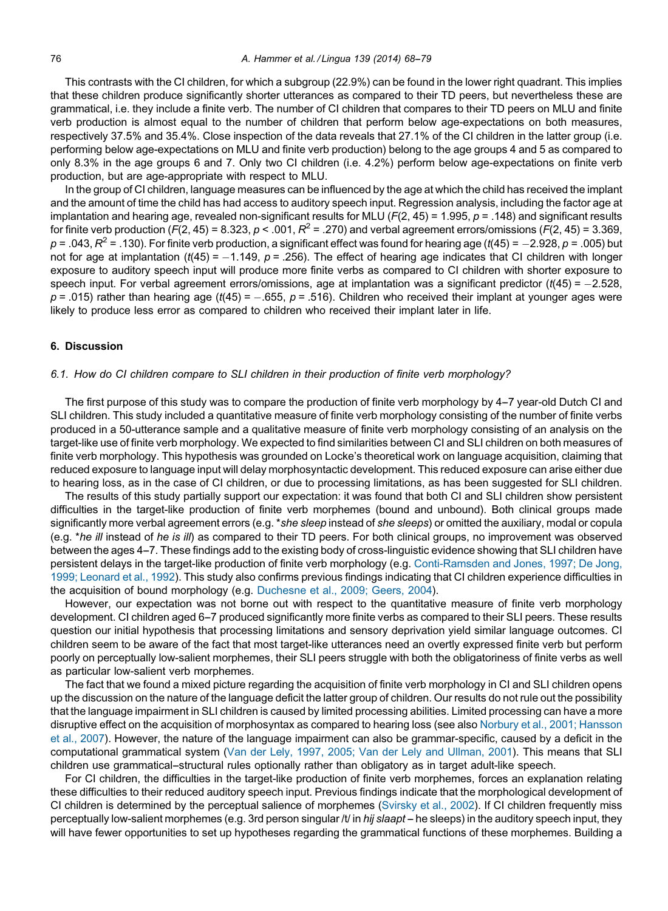<span id="page-8-0"></span>This contrasts with the CI children, for which a subgroup (22.9%) can be found in the lower right quadrant. This implies that these children produce significantly shorter utterances as compared to their TD peers, but nevertheless these are grammatical, i.e. they include a finite verb. The number of CI children that compares to their TD peers on MLU and finite verb production is almost equal to the number of children that perform below age-expectations on both measures, respectively 37.5% and 35.4%. Close inspection of the data reveals that 27.1% of the CI children in the latter group (i.e. performing below age-expectations on MLU and finite verb production) belong to the age groups 4 and 5 as compared to only 8.3% in the age groups 6 and 7. Only two CI children (i.e. 4.2%) perform below age-expectations on finite verb production, but are age-appropriate with respect to MLU.

In the group of CI children, language measures can be influenced by the age at which the child has received the implant and the amount of time the child has had access to auditory speech input. Regression analysis, including the factor age at implantation and hearing age, revealed non-significant results for MLU ( $F(2, 45) = 1.995$ ,  $p = .148$ ) and significant results for finite verb production ( $F(2, 45) = 8.323$ ,  $p < .001$ ,  $R^2 = .270$ ) and verbal agreement errors/omissions ( $F(2, 45) = 3.369$ ,  $p = .043$ ,  $R^2 = .130$ ). For finite verb production, a significant effect was found for hearing age (t(45) = -2.928, p = .005) but not for age at implantation ( $t(45) = -1.149$ ,  $p = .256$ ). The effect of hearing age indicates that CI children with longer exposure to auditory speech input will produce more finite verbs as compared to CI children with shorter exposure to speech input. For verbal agreement errors/omissions, age at implantation was a significant predictor  $(t(45) = -2.528$ ,  $p = .015$ ) rather than hearing age (t(45) = -.655, p = .516). Children who received their implant at younger ages were likely to produce less error as compared to children who received their implant later in life.

# 6. Discussion

#### 6.1. How do CI children compare to SLI children in their production of finite verb morphology?

The first purpose of this study was to compare the production of finite verb morphology by 4-7 year-old Dutch CI and SLI children. This study included a quantitative measure of finite verb morphology consisting of the number of finite verbs produced in a 50-utterance sample and a qualitative measure of finite verb morphology consisting of an analysis on the target-like use of finite verb morphology. We expected to find similarities between CI and SLI children on both measures of finite verb morphology. This hypothesis was grounded on Locke's theoretical work on language acquisition, claiming that reduced exposure to language input will delay morphosyntactic development. This reduced exposure can arise either due to hearing loss, as in the case of CI children, or due to processing limitations, as has been suggested for SLI children.

The results of this study partially support our expectation: it was found that both CI and SLI children show persistent difficulties in the target-like production of finite verb morphemes (bound and unbound). Both clinical groups made significantly more verbal agreement errors (e.g. \*she sleep instead of she sleeps) or omitted the auxiliary, modal or copula (e.g. \*he ill instead of he is ill) as compared to their TD peers. For both clinical groups, no improvement was observed between the ages 4-7. These findings add to the existing body of cross-linguistic evidence showing that SLI children have persistent delays in the target-like production of finite verb morphology (e.g. [Conti-Ramsden](#page-10-0) and Jones, 1997; De Jong, 1999; [Leonard](#page-10-0) et al., 1992). This study also confirms previous findings indicating that CI children experience difficulties in the acquisition of bound morphology (e.g. [Duchesne](#page-10-0) et al., 2009; Geers, 2004).

However, our expectation was not borne out with respect to the quantitative measure of finite verb morphology development. CI children aged 6-7 produced significantly more finite verbs as compared to their SLI peers. These results question our initial hypothesis that processing limitations and sensory deprivation yield similar language outcomes. CI children seem to be aware of the fact that most target-like utterances need an overtly expressed finite verb but perform poorly on perceptually low-salient morphemes, their SLI peers struggle with both the obligatoriness of finite verbs as well as particular low-salient verb morphemes.

The fact that we found a mixed picture regarding the acquisition of finite verb morphology in CI and SLI children opens up the discussion on the nature of the language deficit the latter group of children. Our results do not rule out the possibility that the language impairment in SLI children is caused by limited processing abilities. Limited processing can have a more disruptive effect on the acquisition of morphosyntax as compared to hearing loss (see also Norbury et al., 2001; [Hansson](#page-10-0) et al., [2007](#page-10-0)). However, the nature of the language impairment can also be grammar-specific, caused by a deficit in the computational grammatical system (Van der Lely, 1997, 2005; Van der Lely and [Ullman,](#page-11-0) 2001). This means that SLI children use grammatical-structural rules optionally rather than obligatory as in target adult-like speech.

For CI children, the difficulties in the target-like production of finite verb morphemes, forces an explanation relating these difficulties to their reduced auditory speech input. Previous findings indicate that the morphological development of CI children is determined by the perceptual salience of morphemes [\(Svirsky](#page-10-0) et al., 2002). If CI children frequently miss perceptually low-salient morphemes (e.g. 3rd person singular /t/ in hij slaapt – he sleeps) in the auditory speech input, they will have fewer opportunities to set up hypotheses regarding the grammatical functions of these morphemes. Building a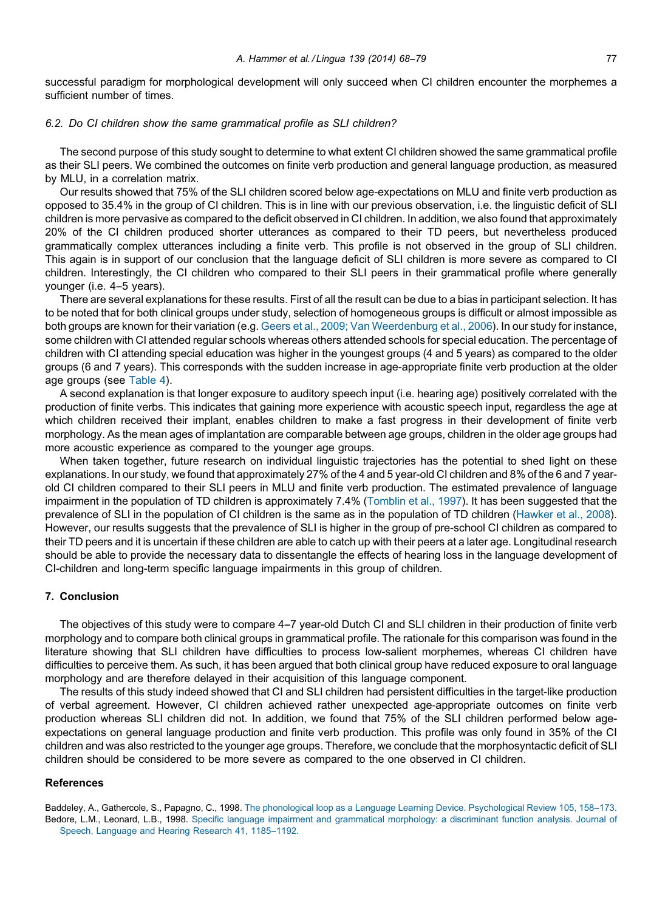<span id="page-9-0"></span>successful paradigm for morphological development will only succeed when CI children encounter the morphemes a sufficient number of times.

#### 6.2. Do CI children show the same grammatical profile as SLI children?

The second purpose of this study sought to determine to what extent CI children showed the same grammatical profile as their SLI peers. We combined the outcomes on finite verb production and general language production, as measured by MLU, in a correlation matrix.

Our results showed that 75% of the SLI children scored below age-expectations on MLU and finite verb production as opposed to 35.4% in the group of CI children. This is in line with our previous observation, i.e. the linguistic deficit of SLI children is more pervasive as compared to the deficit observed in CI children. In addition, we also found that approximately 20% of the CI children produced shorter utterances as compared to their TD peers, but nevertheless produced grammatically complex utterances including a finite verb. This profile is not observed in the group of SLI children. This again is in support of our conclusion that the language deficit of SLI children is more severe as compared to CI children. Interestingly, the CI children who compared to their SLI peers in their grammatical profile where generally younger (i.e. 4-5 years).

There are several explanations for these results. First of all the result can be due to a bias in participant selection. It has to be noted that for both clinical groups under study, selection of homogeneous groups is difficult or almost impossible as both groups are known for their variation (e.g. Geers et al., 2009; Van [Weerdenburg](#page-10-0) et al., 2006). In our study for instance, some children with CI attended regular schools whereas others attended schools for special education. The percentage of children with CI attending special education was higher in the youngest groups (4 and 5 years) as compared to the older groups (6 and 7 years). This corresponds with the sudden increase in age-appropriate finite verb production at the older age groups (see [Table](#page-6-0) 4).

A second explanation is that longer exposure to auditory speech input (i.e. hearing age) positively correlated with the production of finite verbs. This indicates that gaining more experience with acoustic speech input, regardless the age at which children received their implant, enables children to make a fast progress in their development of finite verb morphology. As the mean ages of implantation are comparable between age groups, children in the older age groups had more acoustic experience as compared to the younger age groups.

When taken together, future research on individual linguistic trajectories has the potential to shed light on these explanations. In our study, we found that approximately 27% of the 4 and 5 year-old CI children and 8% of the 6 and 7 yearold CI children compared to their SLI peers in MLU and finite verb production. The estimated prevalence of language impairment in the population of TD children is approximately 7.4% [\(Tomblin](#page-11-0) et al., 1997). It has been suggested that the prevalence of SLI in the population of CI children is the same as in the population of TD children ([Hawker](#page-10-0) et al., 2008). However, our results suggests that the prevalence of SLI is higher in the group of pre-school CI children as compared to their TD peers and it is uncertain if these children are able to catch up with their peers at a later age. Longitudinal research should be able to provide the necessary data to dissentangle the effects of hearing loss in the language development of CI-children and long-term specific language impairments in this group of children.

# 7. Conclusion

The objectives of this study were to compare 4-7 year-old Dutch CI and SLI children in their production of finite verb morphology and to compare both clinical groups in grammatical profile. The rationale for this comparison was found in the literature showing that SLI children have difficulties to process low-salient morphemes, whereas CI children have difficulties to perceive them. As such, it has been argued that both clinical group have reduced exposure to oral language morphology and are therefore delayed in their acquisition of this language component.

The results of this study indeed showed that CI and SLI children had persistent difficulties in the target-like production of verbal agreement. However, CI children achieved rather unexpected age-appropriate outcomes on finite verb production whereas SLI children did not. In addition, we found that 75% of the SLI children performed below ageexpectations on general language production and finite verb production. This profile was only found in 35% of the CI children and was also restricted to the younger age groups. Therefore, we conclude that the morphosyntactic deficit of SLI children should be considered to be more severe as compared to the one observed in CI children.

### References

Baddeley, A., Gathercole, S., Papagno, C., 1998. The phonological loop as a Language Learning Device. [Psychological](http://refhub.elsevier.com/S0024-3841(13)00257-X/sbref0005) Review 105, 158-173. Bedore, L.M., Leonard, L.B., 1998. Specific language impairment and grammatical [morphology:](http://refhub.elsevier.com/S0024-3841(13)00257-X/sbref0010) a discriminant function analysis. Journal of Speech, Language and Hearing Research 41, 1185-1192.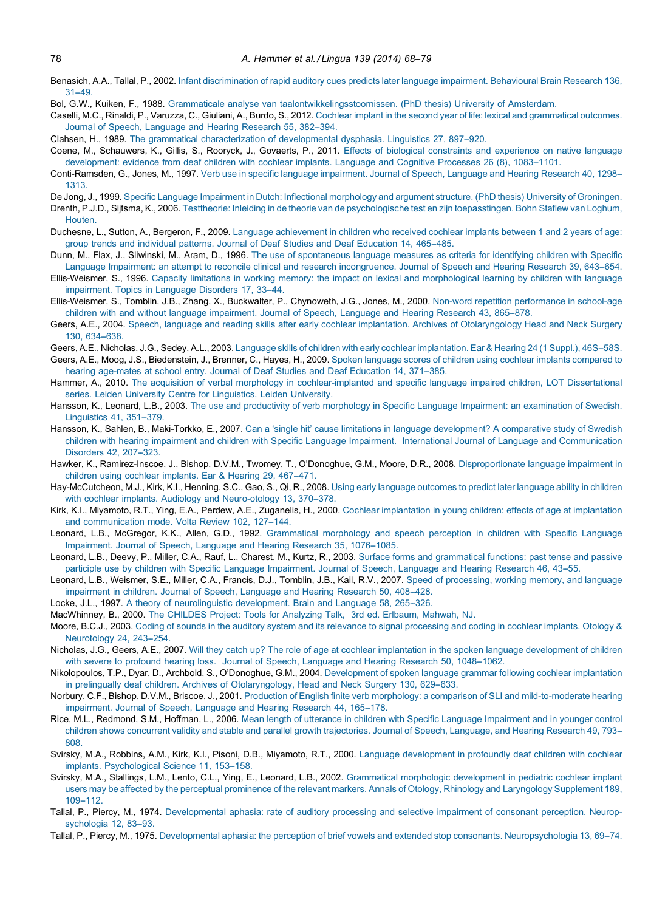<span id="page-10-0"></span>Benasich, A.A., Tallal, P., 2002. Infant [discrimination](http://refhub.elsevier.com/S0024-3841(13)00257-X/sbref0015) of rapid auditory cues predicts later language impairment. Behavioural Brain Research 136,  $31 - 49$ 

Bol, G.W., Kuiken, F., 1988. Grammaticale analyse van [taalontwikkelingsstoornissen.](http://refhub.elsevier.com/S0024-3841(13)00257-X/sbref0020) (PhD thesis) University of Amsterdam.

Caselli, M.C., Rinaldi, P., Varuzza, C., Giuliani, A., Burdo, S., 2012. Cochlear implant in the second year of life: lexical and [grammatical](http://refhub.elsevier.com/S0024-3841(13)00257-X/sbref0025) outcomes. Journal of Speech, [Language](http://refhub.elsevier.com/S0024-3841(13)00257-X/sbref0025) and Hearing Research 55, 382-394.

Clahsen, H., 1989. The grammatical [characterization](http://refhub.elsevier.com/S0024-3841(13)00257-X/sbref0030) of developmental dysphasia. Linguistics 27, 897-920.

Coene, M., Schauwers, K., Gillis, S., Rooryck, J., Govaerts, P., 2011. Effects of biological constraints and [experience](http://refhub.elsevier.com/S0024-3841(13)00257-X/sbref0035) on native language [development:](http://refhub.elsevier.com/S0024-3841(13)00257-X/sbref0035) evidence from deaf children with cochlear implants. Language and Cognitive Processes 26 (8), 1083-1101.

Conti-Ramsden, G., Jones, M., 1997. Verb use in specific language [impairment.](http://refhub.elsevier.com/S0024-3841(13)00257-X/sbref0040) Journal of Speech, Language and Hearing Research 40, 1298-- [1313.](http://refhub.elsevier.com/S0024-3841(13)00257-X/sbref0040)

De Jong, J., 1999. Specific Language Impairment in Dutch: Inflectional [morphology](http://refhub.elsevier.com/S0024-3841(13)00257-X/sbref0045) and argument structure. (PhD thesis) University of Groningen.

Drenth, P.J.D., Sijtsma, K., 2006. Testtheorie: Inleiding in de theorie van de [psychologische](http://refhub.elsevier.com/S0024-3841(13)00257-X/sbref0050) test en zijn toepasstingen. Bohn Staflew van Loghum, **[Houten](http://refhub.elsevier.com/S0024-3841(13)00257-X/sbref0050)** 

Duchesne, L., Sutton, A., Bergeron, F., 2009. Language [achievement](http://refhub.elsevier.com/S0024-3841(13)00257-X/sbref0055) in children who received cochlear implants between 1 and 2 years of age: group trends and individual patterns. Journal of Deaf Studies and Deaf [Education](http://refhub.elsevier.com/S0024-3841(13)00257-X/sbref0055) 14, 465--485.

Dunn, M., Flax, J., Sliwinski, M., Aram, D., 1996. The use of [spontaneous](http://refhub.elsevier.com/S0024-3841(13)00257-X/sbref0060) language measures as criteria for identifying children with Specific

Language Impairment: an attempt to reconcile clinical and research [incongruence.](http://refhub.elsevier.com/S0024-3841(13)00257-X/sbref0060) Journal of Speech and Hearing Research 39, 643-654. Ellis-Weismer, S., 1996. Capacity limitations in working memory: the impact on lexical and [morphological](http://refhub.elsevier.com/S0024-3841(13)00257-X/sbref0070) learning by children with language

[impairment.](http://refhub.elsevier.com/S0024-3841(13)00257-X/sbref0070) Topics in Language Disorders 17, 33-44. Ellis-Weismer, S., Tomblin, J.B., Zhang, X., Buckwalter, P., Chynoweth, J.G., Jones, M., 2000. Non-word repetition [performance](http://refhub.elsevier.com/S0024-3841(13)00257-X/sbref0075) in school-age children with and without language [impairment.](http://refhub.elsevier.com/S0024-3841(13)00257-X/sbref0075) Journal of Speech, Language and Hearing Research 43, 865-878.

Geers, A.E., 2004. Speech, language and reading skills after early cochlear implantation. Archives of [Otolaryngology](http://refhub.elsevier.com/S0024-3841(13)00257-X/sbref0080) Head and Neck Surgery 130, 634-638.

Geers, A.E., Nicholas, J.G., Sedey, A.L., 2003. Language skills of children with early cochlear [implantation.](http://refhub.elsevier.com/S0024-3841(13)00257-X/sbref0085) Ear & Hearing 24 (1 Suppl.), 46S-58S.

Geers, A.E., Moog, J.S., Biedenstein, J., Brenner, C., Hayes, H., 2009. Spoken language scores of children using cochlear implants [compared](http://refhub.elsevier.com/S0024-3841(13)00257-X/sbref0090) to hearing [age-mates](http://refhub.elsevier.com/S0024-3841(13)00257-X/sbref0090) at school entry. Journal of Deaf Studies and Deaf Education 14, 371-385.

Hammer, A., 2010. The acquisition of verbal morphology in [cochlear-implanted](http://refhub.elsevier.com/S0024-3841(13)00257-X/sbref0095) and specific language impaired children, LOT Dissertational series. Leiden University Centre for [Linguistics,](http://refhub.elsevier.com/S0024-3841(13)00257-X/sbref0095) Leiden University.

Hansson, K., Leonard, L.B., 2003. The use and productivity of verb morphology in Specific Language Impairment: an [examination](http://refhub.elsevier.com/S0024-3841(13)00257-X/sbref0100) of Swedish. [Linguistics](http://refhub.elsevier.com/S0024-3841(13)00257-X/sbref0100) 41, 351-379.

Hansson, K., Sahlen, B., Maki-Torkko, E., 2007. Can a 'single hit' cause limitations in language [development?](http://refhub.elsevier.com/S0024-3841(13)00257-X/sbref0105) A comparative study of Swedish children with hearing impairment and children with Specific Language Impairment. International Journal of Language and [Communication](http://refhub.elsevier.com/S0024-3841(13)00257-X/sbref0105) [Disorders](http://refhub.elsevier.com/S0024-3841(13)00257-X/sbref0105) 42, 207-323.

Hawker, K., Ramirez-Inscoe, J., Bishop, D.V.M., Twomey, T., O'Donoghue, G.M., Moore, D.R., 2008. [Disproportionate](http://refhub.elsevier.com/S0024-3841(13)00257-X/sbref0110) language impairment in children using cochlear [implants.](http://refhub.elsevier.com/S0024-3841(13)00257-X/sbref0110) Ear & Hearing 29, 467-471.

Hay-McCutcheon, M.J., Kirk, K.I., Henning, S.C., Gao, S., Qi, R., 2008. Using early language [outcomes](http://refhub.elsevier.com/S0024-3841(13)00257-X/sbref0115) to predict later language ability in children with cochlear implants. Audiology and [Neuro-otology](http://refhub.elsevier.com/S0024-3841(13)00257-X/sbref0115) 13, 370-378.

Kirk, K.I., Miyamoto, R.T., Ying, E.A., Perdew, A.E., Zuganelis, H., 2000. Cochlear [implantation](http://refhub.elsevier.com/S0024-3841(13)00257-X/sbref0120) in young children: effects of age at implantation and [communication](http://refhub.elsevier.com/S0024-3841(13)00257-X/sbref0120) mode. Volta Review 102, 127-144.

Leonard, L.B., McGregor, K.K., Allen, G.D., 1992. [Grammatical](http://refhub.elsevier.com/S0024-3841(13)00257-X/sbref0130) morphology and speech perception in children with Specific Language [Impairment.](http://refhub.elsevier.com/S0024-3841(13)00257-X/sbref0130) Journal of Speech, Language and Hearing Research 35, 1076-1085.

Leonard, L.B., Deevy, P., Miller, C.A., Rauf, L., Charest, M., Kurtz, R., 2003. Surface forms and [grammatical](http://refhub.elsevier.com/S0024-3841(13)00257-X/sbref0135) functions: past tense and passive participle use by children with Specific Language [Impairment.](http://refhub.elsevier.com/S0024-3841(13)00257-X/sbref0135) Journal of Speech, Language and Hearing Research 46, 43-55.

Leonard, L.B., Weismer, S.E., Miller, C.A., Francis, D.J., Tomblin, J.B., Kail, R.V., 2007. Speed of [processing,](http://refhub.elsevier.com/S0024-3841(13)00257-X/sbref0140) working memory, and language [impairment](http://refhub.elsevier.com/S0024-3841(13)00257-X/sbref0140) in children. Journal of Speech, Language and Hearing Research 50, 408-428.

Locke, J.L., 1997. A theory of [neurolinguistic](http://refhub.elsevier.com/S0024-3841(13)00257-X/sbref0145) development. Brain and Language 58, 265-326.

MacWhinney, B., 2000. The CHILDES Project: Tools for [Analyzing](http://refhub.elsevier.com/S0024-3841(13)00257-X/sbref0155) Talk, 3rd ed. Erlbaum, Mahwah, NJ.

Moore, B.C.J., 2003. Coding of sounds in the auditory system and its relevance to signal [processing](http://refhub.elsevier.com/S0024-3841(13)00257-X/sbref0165) and coding in cochlear implants. Otology & [Neurotology](http://refhub.elsevier.com/S0024-3841(13)00257-X/sbref0165) 24, 243-254.

Nicholas, J.G., Geers, A.E., 2007. Will they catch up? The role of age at cochlear implantation in the spoken language [development](http://refhub.elsevier.com/S0024-3841(13)00257-X/sbref0175) of children with severe to profound hearing loss. Journal of Speech, Language and Hearing Research 50, 1048-1062.

Nikolopoulos, T.P., Dyar, D., Archbold, S., O'Donoghue, G.M., 2004. [Development](http://refhub.elsevier.com/S0024-3841(13)00257-X/sbref0180) of spoken language grammar following cochlear implantation in prelingually deaf children. Archives of [Otolaryngology,](http://refhub.elsevier.com/S0024-3841(13)00257-X/sbref0180) Head and Neck Surgery 130, 629-633.

Norbury, C.F., Bishop, D.V.M., Briscoe, J., 2001. Production of English finite verb morphology: a comparison of SLI and [mild-to-moderate](http://refhub.elsevier.com/S0024-3841(13)00257-X/sbref0185) hearing [impairment.](http://refhub.elsevier.com/S0024-3841(13)00257-X/sbref0185) Journal of Speech, Language and Hearing Research 44, 165-178.

Rice, M.L., Redmond, S.M., Hoffman, L., 2006. Mean length of utterance in children with Specific Language [Impairment](http://refhub.elsevier.com/S0024-3841(13)00257-X/sbref0190) and in younger control children shows concurrent validity and stable and parallel growth [trajectories.](http://refhub.elsevier.com/S0024-3841(13)00257-X/sbref0190) Journal of Speech, Language, and Hearing Research 49, 793-- [808](http://refhub.elsevier.com/S0024-3841(13)00257-X/sbref0190).

Svirsky, M.A., Robbins, A.M., Kirk, K.I., Pisoni, D.B., Miyamoto, R.T., 2000. Language [development](http://refhub.elsevier.com/S0024-3841(13)00257-X/sbref0195) in profoundly deaf children with cochlear implants. [Psychological](http://refhub.elsevier.com/S0024-3841(13)00257-X/sbref0195) Science 11, 153-158.

Svirsky, M.A., Stallings, L.M., Lento, C.L., Ying, E., Leonard, L.B., 2002. Grammatical morphologic [development](http://refhub.elsevier.com/S0024-3841(13)00257-X/sbref0200) in pediatric cochlear implant users may be affected by the perceptual prominence of the relevant markers. Annals of Otology, Rhinology and [Laryngology](http://refhub.elsevier.com/S0024-3841(13)00257-X/sbref0200) Supplement 189, 109-112.

Tallal, P., Piercy, M., 1974. [Developmental](http://refhub.elsevier.com/S0024-3841(13)00257-X/sbref0205) aphasia: rate of auditory processing and selective impairment of consonant perception. Neurop[sychologia](http://refhub.elsevier.com/S0024-3841(13)00257-X/sbref0205) 12, 83-93.

Tallal, P., Piercy, M., 1975. Developmental aphasia: the perception of brief vowels and extended stop consonants. [Neuropsychologia](http://refhub.elsevier.com/S0024-3841(13)00257-X/sbref0210) 13, 69--74.